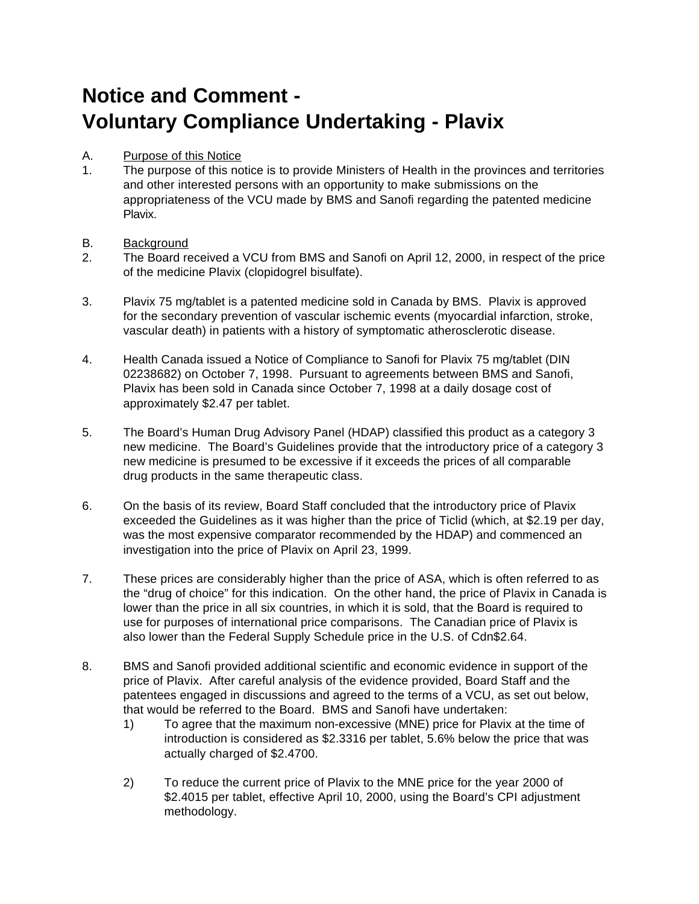# **Notice and Comment - Voluntary Compliance Undertaking - Plavix**

### A. Purpose of this Notice

- 1. The purpose of this notice is to provide Ministers of Health in the provinces and territories and other interested persons with an opportunity to make submissions on the appropriateness of the VCU made by BMS and Sanofi regarding the patented medicine Plavix.
- B. Background
- 2. The Board received a VCU from BMS and Sanofi on April 12, 2000, in respect of the price of the medicine Plavix (clopidogrel bisulfate).
- 3. Plavix 75 mg/tablet is a patented medicine sold in Canada by BMS. Plavix is approved for the secondary prevention of vascular ischemic events (myocardial infarction, stroke, vascular death) in patients with a history of symptomatic atherosclerotic disease.
- 4. Health Canada issued a Notice of Compliance to Sanofi for Plavix 75 mg/tablet (DIN 02238682) on October 7, 1998. Pursuant to agreements between BMS and Sanofi, Plavix has been sold in Canada since October 7, 1998 at a daily dosage cost of approximately \$2.47 per tablet.
- 5. The Board's Human Drug Advisory Panel (HDAP) classified this product as a category 3 new medicine. The Board's Guidelines provide that the introductory price of a category 3 new medicine is presumed to be excessive if it exceeds the prices of all comparable drug products in the same therapeutic class.
- 6. On the basis of its review, Board Staff concluded that the introductory price of Plavix exceeded the Guidelines as it was higher than the price of Ticlid (which, at \$2.19 per day, was the most expensive comparator recommended by the HDAP) and commenced an investigation into the price of Plavix on April 23, 1999.
- 7. These prices are considerably higher than the price of ASA, which is often referred to as the "drug of choice" for this indication. On the other hand, the price of Plavix in Canada is lower than the price in all six countries, in which it is sold, that the Board is required to use for purposes of international price comparisons. The Canadian price of Plavix is also lower than the Federal Supply Schedule price in the U.S. of Cdn\$2.64.
- 8. BMS and Sanofi provided additional scientific and economic evidence in support of the price of Plavix. After careful analysis of the evidence provided, Board Staff and the patentees engaged in discussions and agreed to the terms of a VCU, as set out below, that would be referred to the Board. BMS and Sanofi have undertaken:
	- 1) To agree that the maximum non-excessive (MNE) price for Plavix at the time of introduction is considered as \$2.3316 per tablet, 5.6% below the price that was actually charged of \$2.4700.
	- 2) To reduce the current price of Plavix to the MNE price for the year 2000 of \$2.4015 per tablet, effective April 10, 2000, using the Board's CPI adjustment methodology.